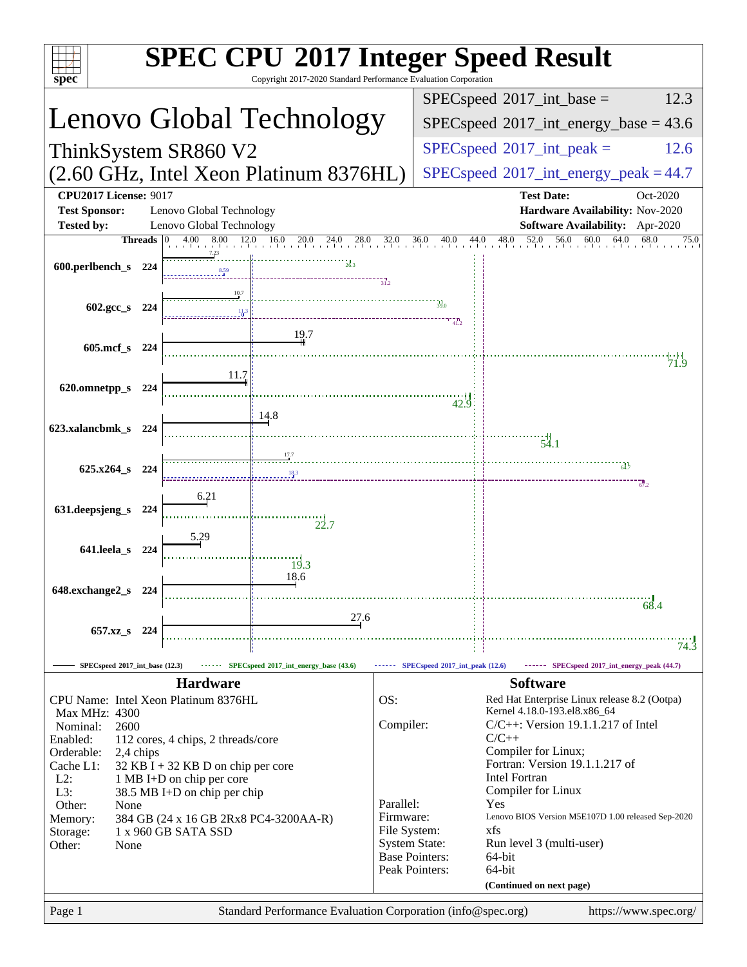| <b>SPEC CPU®2017 Integer Speed Result</b><br>Copyright 2017-2020 Standard Performance Evaluation Corporation                      |                                                                       |                       |                                                                                                       |  |
|-----------------------------------------------------------------------------------------------------------------------------------|-----------------------------------------------------------------------|-----------------------|-------------------------------------------------------------------------------------------------------|--|
| spec <sup>®</sup>                                                                                                                 |                                                                       |                       | $SPEC speed^{\circ}2017\_int\_base =$<br>12.3                                                         |  |
| Lenovo Global Technology                                                                                                          |                                                                       |                       | $SPEC speed^{\circ}2017$ int energy base = 43.6                                                       |  |
|                                                                                                                                   |                                                                       |                       | $SPEC speed^{\circ}2017\_int\_peak =$<br>12.6                                                         |  |
| ThinkSystem SR860 V2                                                                                                              |                                                                       |                       |                                                                                                       |  |
| (2.60 GHz, Intel Xeon Platinum 8376HL)                                                                                            |                                                                       |                       | $SPEC speed@2017_int\_energy\_peak = 44.7$                                                            |  |
| <b>CPU2017 License: 9017</b><br><b>Test Sponsor:</b><br>Lenovo Global Technology<br><b>Tested by:</b><br>Lenovo Global Technology |                                                                       |                       | <b>Test Date:</b><br>Oct-2020<br>Hardware Availability: Nov-2020<br>Software Availability: Apr-2020   |  |
| <b>Threads</b>                                                                                                                    | $4.00$ $8.00$ $12.0$ $16.0$ $20.0$ $24.0$ $28.0$ $32.0$ $36.0$ $40.0$ | 44.0                  | $48.0$ $52.0$ $56.0$<br>60.0 64.0<br>68.0<br>75.0                                                     |  |
| 600.perlbench_s 224                                                                                                               |                                                                       |                       |                                                                                                       |  |
| 10.7                                                                                                                              |                                                                       |                       |                                                                                                       |  |
| 602.gcc_s 224                                                                                                                     |                                                                       |                       |                                                                                                       |  |
|                                                                                                                                   | 19.7                                                                  |                       |                                                                                                       |  |
| $605$ .mcf_s<br>224                                                                                                               |                                                                       |                       | 71.9                                                                                                  |  |
| 11.7<br>620.omnetpp_s                                                                                                             |                                                                       |                       |                                                                                                       |  |
| 224                                                                                                                               |                                                                       | 42.9                  |                                                                                                       |  |
| 623.xalancbmk_s<br>-224                                                                                                           | 14.8                                                                  |                       |                                                                                                       |  |
|                                                                                                                                   |                                                                       |                       | 54.1                                                                                                  |  |
| 625.x264_s 224                                                                                                                    |                                                                       |                       |                                                                                                       |  |
|                                                                                                                                   |                                                                       |                       | $-67.2$                                                                                               |  |
| 6.21<br>631.deepsjeng_s<br>224                                                                                                    |                                                                       |                       |                                                                                                       |  |
| 5.29                                                                                                                              | 22.7                                                                  |                       |                                                                                                       |  |
| 641.leela_s<br>224                                                                                                                |                                                                       |                       |                                                                                                       |  |
|                                                                                                                                   | 19.3<br>18.6                                                          |                       |                                                                                                       |  |
| 648.exchange2_s<br>224                                                                                                            |                                                                       |                       |                                                                                                       |  |
|                                                                                                                                   | 27.6                                                                  |                       | 68.4                                                                                                  |  |
| 657.xz_s 224                                                                                                                      |                                                                       |                       |                                                                                                       |  |
|                                                                                                                                   |                                                                       |                       | 74.3                                                                                                  |  |
| SPECspeed <sup>®</sup> 2017_int_base (12.3)<br><b>Hardware</b>                                                                    | SPECspeed <sup>®</sup> 2017_int_energy_base (43.6)                    |                       | ------ SPECspeed*2017_int_peak (12.6) ------ SPECspeed*2017_int_energy_peak (44.7)<br><b>Software</b> |  |
| CPU Name: Intel Xeon Platinum 8376HL                                                                                              |                                                                       | OS:                   | Red Hat Enterprise Linux release 8.2 (Ootpa)                                                          |  |
| Max MHz: 4300<br>Nominal:<br>2600                                                                                                 |                                                                       | Compiler:             | Kernel 4.18.0-193.el8.x86_64<br>$C/C++$ : Version 19.1.1.217 of Intel                                 |  |
| Enabled:<br>112 cores, 4 chips, 2 threads/core                                                                                    |                                                                       |                       | $C/C++$                                                                                               |  |
| Orderable:<br>2,4 chips<br>Cache L1:<br>$32$ KB I + 32 KB D on chip per core                                                      |                                                                       |                       | Compiler for Linux;<br>Fortran: Version 19.1.1.217 of                                                 |  |
| $L2$ :<br>1 MB I+D on chip per core                                                                                               |                                                                       |                       | <b>Intel Fortran</b>                                                                                  |  |
| L3:<br>38.5 MB I+D on chip per chip<br>Other:<br>None                                                                             |                                                                       | Parallel:             | Compiler for Linux<br>Yes                                                                             |  |
| 384 GB (24 x 16 GB 2Rx8 PC4-3200AA-R)<br>Memory:                                                                                  |                                                                       | Firmware:             | Lenovo BIOS Version M5E107D 1.00 released Sep-2020                                                    |  |
| File System:<br>1 x 960 GB SATA SSD<br>Storage:<br><b>System State:</b><br>Run level 3 (multi-user)<br>Other:<br>None             |                                                                       |                       | xfs                                                                                                   |  |
|                                                                                                                                   |                                                                       | <b>Base Pointers:</b> | 64-bit                                                                                                |  |
|                                                                                                                                   |                                                                       | Peak Pointers:        | 64-bit<br>(Continued on next page)                                                                    |  |
| Page 1                                                                                                                            | Standard Performance Evaluation Corporation (info@spec.org)           |                       | https://www.spec.org/                                                                                 |  |
|                                                                                                                                   |                                                                       |                       |                                                                                                       |  |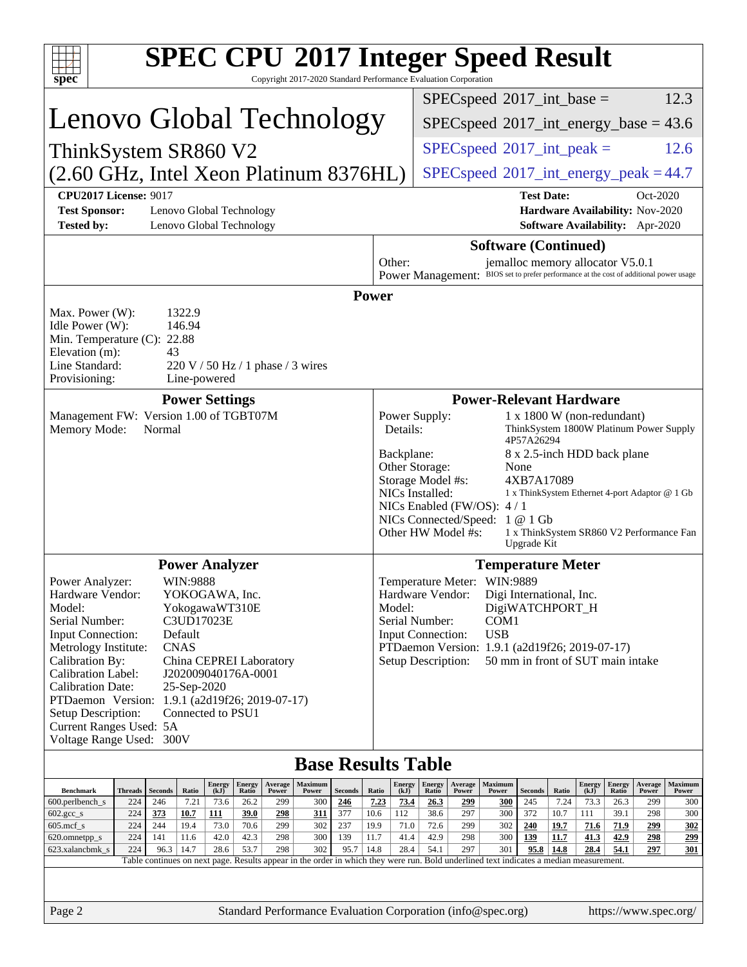| <b>SPEC CPU®2017 Integer Speed Result</b>                                                                                                                                                                                                                                                                                                                                                                                                                                                                             |                                              |                                                                                            |                                                                                          |                                                                                                                                                                                                     |                                                                  |                             |                       |                        |                                                                                |                                          |
|-----------------------------------------------------------------------------------------------------------------------------------------------------------------------------------------------------------------------------------------------------------------------------------------------------------------------------------------------------------------------------------------------------------------------------------------------------------------------------------------------------------------------|----------------------------------------------|--------------------------------------------------------------------------------------------|------------------------------------------------------------------------------------------|-----------------------------------------------------------------------------------------------------------------------------------------------------------------------------------------------------|------------------------------------------------------------------|-----------------------------|-----------------------|------------------------|--------------------------------------------------------------------------------|------------------------------------------|
| spec <sup>®</sup><br>Copyright 2017-2020 Standard Performance Evaluation Corporation                                                                                                                                                                                                                                                                                                                                                                                                                                  |                                              |                                                                                            |                                                                                          |                                                                                                                                                                                                     |                                                                  |                             |                       |                        |                                                                                | 12.3                                     |
| Lenovo Global Technology                                                                                                                                                                                                                                                                                                                                                                                                                                                                                              |                                              |                                                                                            | $SPEC speed^{\circ}2017\_int\_base =$<br>$SPEC speed^{\circ}2017$ int energy base = 43.6 |                                                                                                                                                                                                     |                                                                  |                             |                       |                        |                                                                                |                                          |
| ThinkSystem SR860 V2                                                                                                                                                                                                                                                                                                                                                                                                                                                                                                  |                                              |                                                                                            | $SPEC speed^{\circ}2017\_int\_peak =$<br>12.6                                            |                                                                                                                                                                                                     |                                                                  |                             |                       |                        |                                                                                |                                          |
| (2.60 GHz, Intel Xeon Platinum 8376HL)                                                                                                                                                                                                                                                                                                                                                                                                                                                                                |                                              |                                                                                            |                                                                                          | $SPEC speed^{\circ}2017\_int\_energy\_peak = 44.7$                                                                                                                                                  |                                                                  |                             |                       |                        |                                                                                |                                          |
| <b>CPU2017 License: 9017</b><br><b>Test Sponsor:</b><br>Lenovo Global Technology<br><b>Tested by:</b><br>Lenovo Global Technology                                                                                                                                                                                                                                                                                                                                                                                     |                                              |                                                                                            |                                                                                          |                                                                                                                                                                                                     | <b>Test Date:</b>                                                |                             |                       |                        | Oct-2020<br>Hardware Availability: Nov-2020<br>Software Availability: Apr-2020 |                                          |
| Other:                                                                                                                                                                                                                                                                                                                                                                                                                                                                                                                |                                              |                                                                                            |                                                                                          | <b>Software (Continued)</b><br>jemalloc memory allocator V5.0.1                                                                                                                                     |                                                                  |                             |                       |                        |                                                                                |                                          |
| Power Management: BIOS set to prefer performance at the cost of additional power usage<br>Power<br>Max. Power (W):<br>1322.9<br>146.94<br>Idle Power (W):<br>Min. Temperature (C): 22.88<br>Elevation (m):<br>43<br>Line Standard:<br>$220 \text{ V}$ / 50 Hz / 1 phase / 3 wires<br>Provisioning:<br>Line-powered                                                                                                                                                                                                    |                                              |                                                                                            |                                                                                          |                                                                                                                                                                                                     |                                                                  |                             |                       |                        |                                                                                |                                          |
| <b>Power Settings</b>                                                                                                                                                                                                                                                                                                                                                                                                                                                                                                 |                                              |                                                                                            |                                                                                          | <b>Power-Relevant Hardware</b>                                                                                                                                                                      |                                                                  |                             |                       |                        |                                                                                |                                          |
| Management FW: Version 1.00 of TGBT07M<br>Memory Mode:<br>Normal                                                                                                                                                                                                                                                                                                                                                                                                                                                      | Power Supply:<br>Details:                    |                                                                                            |                                                                                          |                                                                                                                                                                                                     | $1 x 1800 W (non-redundant)$<br>4P57A26294                       |                             |                       |                        | ThinkSystem 1800W Platinum Power Supply                                        |                                          |
|                                                                                                                                                                                                                                                                                                                                                                                                                                                                                                                       |                                              | Backplane:<br>Other Storage:<br>Storage Model #s:<br>NICs Installed:<br>Other HW Model #s: |                                                                                          | NICs Enabled (FW/OS): $4/1$<br>NICs Connected/Speed: 1 @ 1 Gb                                                                                                                                       | 8 x 2.5-inch HDD back plane<br>None<br>4XB7A17089<br>Upgrade Kit |                             |                       |                        | 1 x ThinkSystem Ethernet 4-port Adaptor @ 1 Gb                                 | 1 x ThinkSystem SR860 V2 Performance Fan |
| <b>Power Analyzer</b>                                                                                                                                                                                                                                                                                                                                                                                                                                                                                                 | <b>Temperature Meter</b>                     |                                                                                            |                                                                                          |                                                                                                                                                                                                     |                                                                  |                             |                       |                        |                                                                                |                                          |
| WIN:9888<br>Power Analyzer:<br>YOKOGAWA, Inc.<br>Hardware Vendor:<br>YokogawaWT310E<br>Model:<br>Serial Number:<br>C3UD17023E<br>Default<br><b>Input Connection:</b><br>Metrology Institute:<br><b>CNAS</b><br>Calibration By:<br>China CEPREI Laboratory<br>Calibration Label:<br>J202009040176A-0001<br><b>Calibration Date:</b><br>25-Sep-2020<br>PTDaemon <sup>™</sup> Version:<br>1.9.1 (a2d19f26; 2019-07-17)<br>Connected to PSU1<br>Setup Description:<br>Current Ranges Used: 5A<br>Voltage Range Used: 300V | Model:<br>Input Connection:                  | Hardware Vendor:<br>Serial Number:<br>Setup Description:                                   |                                                                                          | Temperature Meter: WIN:9889<br>Digi International, Inc.<br>DigiWATCHPORT_H<br>COM <sub>1</sub><br><b>USB</b><br>PTDaemon Version: 1.9.1 (a2d19f26; 2019-07-17)<br>50 mm in front of SUT main intake |                                                                  |                             |                       |                        |                                                                                |                                          |
| <b>Base Results Table</b>                                                                                                                                                                                                                                                                                                                                                                                                                                                                                             |                                              |                                                                                            |                                                                                          |                                                                                                                                                                                                     |                                                                  |                             |                       |                        |                                                                                |                                          |
| Energy<br>Maximum<br><b>Energy</b><br>Average<br>Ratio<br><b>Benchmark</b><br><b>Threads</b><br><b>Seconds</b><br>(kJ)<br>Ratio<br>Power<br>Seconds<br>Power                                                                                                                                                                                                                                                                                                                                                          | <b>Energy</b><br>Ratio<br>(kJ)               | Energy<br>Ratio                                                                            | Average<br>Power                                                                         | Maximum<br>Power                                                                                                                                                                                    | Seconds                                                          | Ratio                       | <b>Energy</b><br>(kJ) | <b>Energy</b><br>Ratio | Average<br>Power                                                               | Maximum<br>Power                         |
| 7.21<br>600.perlbench_s<br>224<br>246<br>73.6<br>26.2<br>299<br>300<br>246<br>$602.\text{gcc}\_\text{s}$<br>224<br>373<br>10.7<br>111<br>39.0<br>298<br>311<br>377                                                                                                                                                                                                                                                                                                                                                    | 7.23<br>73.4<br>10.6<br>112                  | 26.3<br>38.6                                                                               | 299<br>297                                                                               | 300<br>300                                                                                                                                                                                          | 245<br>372                                                       | 7.24<br>10.7                | 73.3<br>111           | 26.3<br>39.1           | 299<br>298                                                                     | 300<br>300                               |
| 70.6<br>302<br>$605$ .mcf_s<br>224<br>244<br>19.4<br>73.0<br>299<br>237<br>42.0<br>42.3<br>300<br>139<br>224<br>141<br>11.6<br>298<br>620.omnetpp_s<br>224<br>96.3<br>14.7<br>28.6<br>53.7<br>298<br>302<br>95.7<br>623.xalancbmk_s                                                                                                                                                                                                                                                                                   | 19.9<br>71.0<br>11.7<br>41.4<br>14.8<br>28.4 | 72.6<br>42.9<br>54.1                                                                       | 299<br>298<br>297                                                                        | 302<br>300<br>301                                                                                                                                                                                   | 240<br><u>139</u><br>95.8                                        | <u>19.7</u><br>11.7<br>14.8 | 71.6<br>41.3<br>28.4  | 71.9<br>42.9<br>54.1   | 299<br><u>298</u><br>297                                                       | 302<br><u> 299</u><br>301                |
| Table continues on next page. Results appear in the order in which they were run. Bold underlined text indicates a median measurement.                                                                                                                                                                                                                                                                                                                                                                                |                                              |                                                                                            |                                                                                          |                                                                                                                                                                                                     |                                                                  |                             |                       |                        |                                                                                |                                          |
| Standard Performance Evaluation Corporation (info@spec.org)<br>Page 2                                                                                                                                                                                                                                                                                                                                                                                                                                                 |                                              |                                                                                            |                                                                                          |                                                                                                                                                                                                     |                                                                  |                             |                       |                        |                                                                                | https://www.spec.org/                    |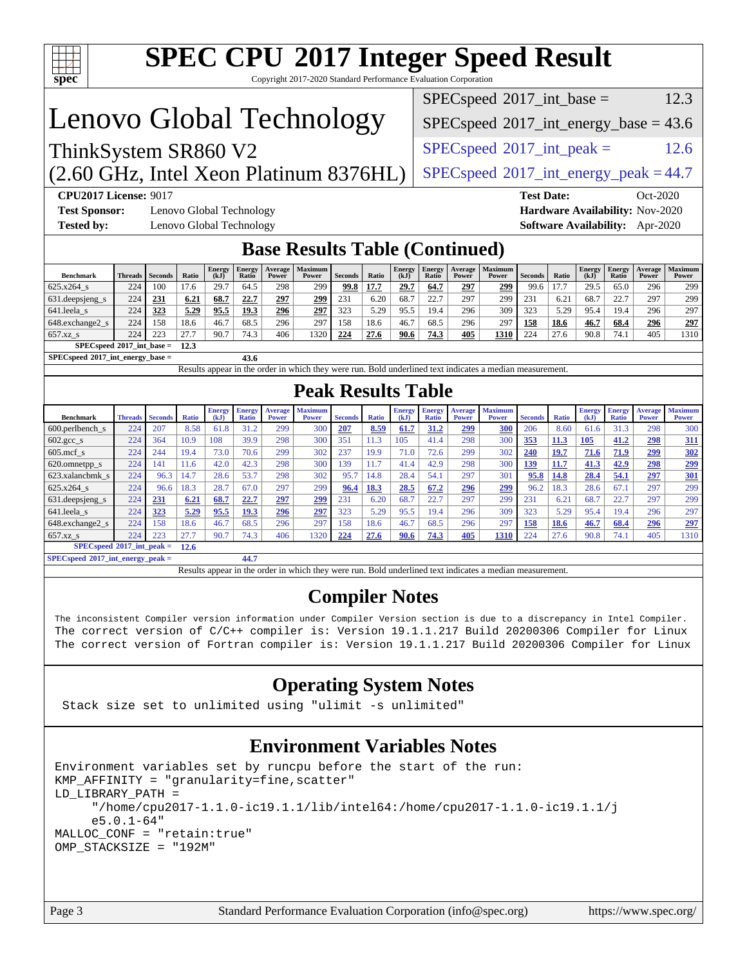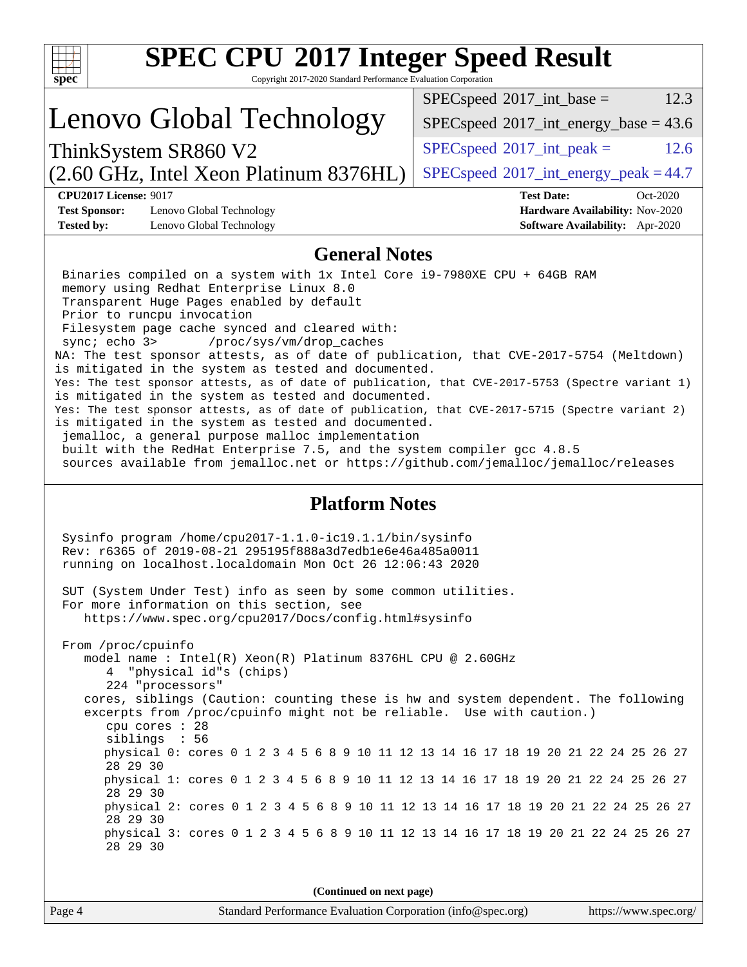| <b>SPEC CPU®2017 Integer Speed Result</b>                                                                                                                                                                                                                                                                                                                                                                                                                                                                                                                                                                                                                                                                                                                                                                                                                                                                                                                                                         |                                                                  |  |  |  |
|---------------------------------------------------------------------------------------------------------------------------------------------------------------------------------------------------------------------------------------------------------------------------------------------------------------------------------------------------------------------------------------------------------------------------------------------------------------------------------------------------------------------------------------------------------------------------------------------------------------------------------------------------------------------------------------------------------------------------------------------------------------------------------------------------------------------------------------------------------------------------------------------------------------------------------------------------------------------------------------------------|------------------------------------------------------------------|--|--|--|
| Copyright 2017-2020 Standard Performance Evaluation Corporation<br>$spec^*$                                                                                                                                                                                                                                                                                                                                                                                                                                                                                                                                                                                                                                                                                                                                                                                                                                                                                                                       |                                                                  |  |  |  |
| Lenovo Global Technology                                                                                                                                                                                                                                                                                                                                                                                                                                                                                                                                                                                                                                                                                                                                                                                                                                                                                                                                                                          | 12.3<br>$SPEC speed^{\circ}2017\_int\_base =$                    |  |  |  |
|                                                                                                                                                                                                                                                                                                                                                                                                                                                                                                                                                                                                                                                                                                                                                                                                                                                                                                                                                                                                   | $SPEC speed^{\circ}2017\_int\_energy\_base = 43.6$               |  |  |  |
| ThinkSystem SR860 V2                                                                                                                                                                                                                                                                                                                                                                                                                                                                                                                                                                                                                                                                                                                                                                                                                                                                                                                                                                              | $SPEC speed^{\circ}2017\_int\_peak =$<br>12.6                    |  |  |  |
| (2.60 GHz, Intel Xeon Platinum 8376HL)                                                                                                                                                                                                                                                                                                                                                                                                                                                                                                                                                                                                                                                                                                                                                                                                                                                                                                                                                            | $SPEC speed^{\circ}2017\_int\_energy\_peak = 44.7$               |  |  |  |
| <b>CPU2017 License: 9017</b><br><b>Test Sponsor:</b><br>Lenovo Global Technology                                                                                                                                                                                                                                                                                                                                                                                                                                                                                                                                                                                                                                                                                                                                                                                                                                                                                                                  | <b>Test Date:</b><br>Oct-2020<br>Hardware Availability: Nov-2020 |  |  |  |
| <b>Tested by:</b><br>Lenovo Global Technology                                                                                                                                                                                                                                                                                                                                                                                                                                                                                                                                                                                                                                                                                                                                                                                                                                                                                                                                                     | Software Availability: Apr-2020                                  |  |  |  |
| <b>General Notes</b>                                                                                                                                                                                                                                                                                                                                                                                                                                                                                                                                                                                                                                                                                                                                                                                                                                                                                                                                                                              |                                                                  |  |  |  |
| Binaries compiled on a system with 1x Intel Core i9-7980XE CPU + 64GB RAM<br>memory using Redhat Enterprise Linux 8.0<br>Transparent Huge Pages enabled by default<br>Prior to runcpu invocation<br>Filesystem page cache synced and cleared with:<br>sync; echo 3><br>/proc/sys/vm/drop_caches<br>NA: The test sponsor attests, as of date of publication, that CVE-2017-5754 (Meltdown)<br>is mitigated in the system as tested and documented.<br>Yes: The test sponsor attests, as of date of publication, that CVE-2017-5753 (Spectre variant 1)<br>is mitigated in the system as tested and documented.<br>Yes: The test sponsor attests, as of date of publication, that CVE-2017-5715 (Spectre variant 2)<br>is mitigated in the system as tested and documented.<br>jemalloc, a general purpose malloc implementation<br>built with the RedHat Enterprise 7.5, and the system compiler gcc 4.8.5<br>sources available from jemalloc.net or https://github.com/jemalloc/jemalloc/releases |                                                                  |  |  |  |
| <b>Platform Notes</b><br>Sysinfo program /home/cpu2017-1.1.0-ic19.1.1/bin/sysinfo<br>Rev: r6365 of 2019-08-21 295195f888a3d7edble6e46a485a0011<br>running on localhost.localdomain Mon Oct 26 12:06:43 2020                                                                                                                                                                                                                                                                                                                                                                                                                                                                                                                                                                                                                                                                                                                                                                                       |                                                                  |  |  |  |
| SUT (System Under Test) info as seen by some common utilities.<br>For more information on this section, see<br>https://www.spec.org/cpu2017/Docs/config.html#sysinfo                                                                                                                                                                                                                                                                                                                                                                                                                                                                                                                                                                                                                                                                                                                                                                                                                              |                                                                  |  |  |  |
| From /proc/cpuinfo<br>model name : Intel(R) Xeon(R) Platinum 8376HL CPU @ 2.60GHz<br>"physical id"s (chips)<br>4<br>224 "processors"<br>cores, siblings (Caution: counting these is hw and system dependent. The following<br>excerpts from /proc/cpuinfo might not be reliable. Use with caution.)<br>cpu cores : 28<br>siblings : 56<br>physical 0: cores 0 1 2 3 4 5 6 8 9 10 11 12 13 14 16 17 18 19 20 21 22 24 25 26 27<br>28 29 30<br>physical 1: cores 0 1 2 3 4 5 6 8 9 10 11 12 13 14 16 17 18 19 20 21 22 24 25 26 27<br>28 29 30<br>physical 2: cores 0 1 2 3 4 5 6 8 9 10 11 12 13 14 16 17 18 19 20 21 22 24 25 26 27<br>28 29 30<br>physical 3: cores 0 1 2 3 4 5 6 8 9 10 11 12 13 14 16 17 18 19 20 21 22 24 25 26 27<br>28 29 30                                                                                                                                                                                                                                                |                                                                  |  |  |  |
| (Continued on next page)                                                                                                                                                                                                                                                                                                                                                                                                                                                                                                                                                                                                                                                                                                                                                                                                                                                                                                                                                                          |                                                                  |  |  |  |
| Standard Performance Evaluation Corporation (info@spec.org)<br>Page 4                                                                                                                                                                                                                                                                                                                                                                                                                                                                                                                                                                                                                                                                                                                                                                                                                                                                                                                             | https://www.spec.org/                                            |  |  |  |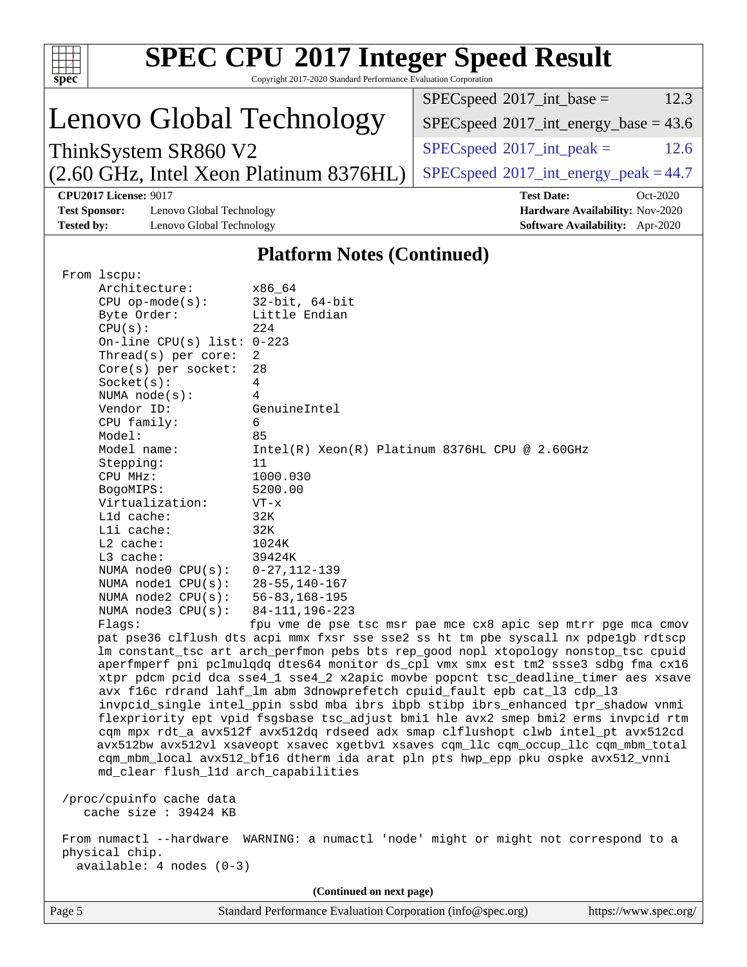|                                                                                                                                                                         |                                                                                              |                                                                 | <b>SPEC CPU®2017 Integer Speed Result</b>                                                                                                                    |      |  |  |
|-------------------------------------------------------------------------------------------------------------------------------------------------------------------------|----------------------------------------------------------------------------------------------|-----------------------------------------------------------------|--------------------------------------------------------------------------------------------------------------------------------------------------------------|------|--|--|
| $spec^*$                                                                                                                                                                |                                                                                              | Copyright 2017-2020 Standard Performance Evaluation Corporation |                                                                                                                                                              |      |  |  |
|                                                                                                                                                                         |                                                                                              |                                                                 | $SPEC speed^{\circ}2017\_int\_base =$                                                                                                                        | 12.3 |  |  |
|                                                                                                                                                                         | Lenovo Global Technology                                                                     |                                                                 | $SPEC speed^{\circ}2017\_int\_energy\_base = 43.6$                                                                                                           |      |  |  |
|                                                                                                                                                                         | ThinkSystem SR860 V2                                                                         |                                                                 | $SPEC speed^{\circ}2017\_int\_peak =$                                                                                                                        | 12.6 |  |  |
|                                                                                                                                                                         | (2.60 GHz, Intel Xeon Platinum 8376HL)<br>$SPEC speed^{\circ}2017\_int\_energy\_peak = 44.7$ |                                                                 |                                                                                                                                                              |      |  |  |
|                                                                                                                                                                         | <b>CPU2017 License: 9017</b>                                                                 |                                                                 | <b>Test Date:</b><br>Oct-2020                                                                                                                                |      |  |  |
|                                                                                                                                                                         | <b>Test Sponsor:</b><br>Lenovo Global Technology<br>Hardware Availability: Nov-2020          |                                                                 |                                                                                                                                                              |      |  |  |
| <b>Tested by:</b>                                                                                                                                                       | Lenovo Global Technology                                                                     |                                                                 | Software Availability: Apr-2020                                                                                                                              |      |  |  |
|                                                                                                                                                                         |                                                                                              | <b>Platform Notes (Continued)</b>                               |                                                                                                                                                              |      |  |  |
|                                                                                                                                                                         | From lscpu:                                                                                  |                                                                 |                                                                                                                                                              |      |  |  |
|                                                                                                                                                                         | Architecture:<br>$CPU$ op-mode( $s$ ):                                                       | x86_64<br>$32$ -bit, $64$ -bit                                  |                                                                                                                                                              |      |  |  |
|                                                                                                                                                                         | Byte Order:                                                                                  | Little Endian                                                   |                                                                                                                                                              |      |  |  |
|                                                                                                                                                                         | CPU(s):                                                                                      | 224                                                             |                                                                                                                                                              |      |  |  |
|                                                                                                                                                                         | On-line CPU(s) list: $0-223$                                                                 | 2                                                               |                                                                                                                                                              |      |  |  |
|                                                                                                                                                                         | Thread(s) per core:<br>$Core(s)$ per socket:                                                 | 28                                                              |                                                                                                                                                              |      |  |  |
|                                                                                                                                                                         | Socket(s):                                                                                   | 4                                                               |                                                                                                                                                              |      |  |  |
|                                                                                                                                                                         | NUMA $node(s):$                                                                              | 4                                                               |                                                                                                                                                              |      |  |  |
|                                                                                                                                                                         | Vendor ID:<br>CPU family:                                                                    | GenuineIntel<br>6                                               |                                                                                                                                                              |      |  |  |
|                                                                                                                                                                         | Model:                                                                                       | 85                                                              |                                                                                                                                                              |      |  |  |
|                                                                                                                                                                         | Model name:<br>Intel(R) Xeon(R) Platinum 8376HL CPU @ 2.60GHz                                |                                                                 |                                                                                                                                                              |      |  |  |
|                                                                                                                                                                         | Stepping:<br>11<br>1000.030<br>CPU MHz:                                                      |                                                                 |                                                                                                                                                              |      |  |  |
|                                                                                                                                                                         | BogoMIPS:                                                                                    | 5200.00                                                         |                                                                                                                                                              |      |  |  |
|                                                                                                                                                                         | Virtualization:                                                                              | $VT - x$                                                        |                                                                                                                                                              |      |  |  |
|                                                                                                                                                                         | L1d cache:<br>Lli cache:                                                                     | 32K<br>32K                                                      |                                                                                                                                                              |      |  |  |
|                                                                                                                                                                         | L2 cache:                                                                                    | 1024K                                                           |                                                                                                                                                              |      |  |  |
|                                                                                                                                                                         | L3 cache:                                                                                    | 39424K                                                          |                                                                                                                                                              |      |  |  |
|                                                                                                                                                                         | NUMA $node0$ $CPU(s)$ :<br>NUMA nodel CPU(s):                                                | $0 - 27, 112 - 139$<br>$28 - 55, 140 - 167$                     |                                                                                                                                                              |      |  |  |
|                                                                                                                                                                         |                                                                                              | NUMA node2 CPU(s):<br>$56 - 83, 168 - 195$                      |                                                                                                                                                              |      |  |  |
|                                                                                                                                                                         | NUMA $node3$ CPU $(s)$ :<br>84-111, 196-223                                                  |                                                                 |                                                                                                                                                              |      |  |  |
|                                                                                                                                                                         | Flags:                                                                                       |                                                                 | fpu vme de pse tsc msr pae mce cx8 apic sep mtrr pge mca cmov<br>pat pse36 clflush dts acpi mmx fxsr sse sse2 ss ht tm pbe syscall nx pdpelgb rdtscp         |      |  |  |
|                                                                                                                                                                         |                                                                                              |                                                                 | lm constant_tsc art arch_perfmon pebs bts rep_good nopl xtopology nonstop_tsc cpuid                                                                          |      |  |  |
|                                                                                                                                                                         |                                                                                              |                                                                 | aperfmperf pni pclmulqdq dtes64 monitor ds_cpl vmx smx est tm2 ssse3 sdbg fma cx16                                                                           |      |  |  |
|                                                                                                                                                                         |                                                                                              |                                                                 | xtpr pdcm pcid dca sse4_1 sse4_2 x2apic movbe popcnt tsc_deadline_timer aes xsave<br>avx f16c rdrand lahf_lm abm 3dnowprefetch cpuid_fault epb cat_13 cdp_13 |      |  |  |
|                                                                                                                                                                         |                                                                                              |                                                                 | invpcid_single intel_ppin ssbd mba ibrs ibpb stibp ibrs_enhanced tpr_shadow vnmi                                                                             |      |  |  |
|                                                                                                                                                                         | flexpriority ept vpid fsgsbase tsc_adjust bmil hle avx2 smep bmi2 erms invpcid rtm           |                                                                 |                                                                                                                                                              |      |  |  |
| cqm mpx rdt_a avx512f avx512dq rdseed adx smap clflushopt clwb intel_pt avx512cd                                                                                        |                                                                                              |                                                                 |                                                                                                                                                              |      |  |  |
| avx512bw avx512vl xsaveopt xsavec xgetbvl xsaves cqm_llc cqm_occup_llc cqm_mbm_total<br>cqm_mbm_local avx512_bf16 dtherm ida arat pln pts hwp_epp pku ospke avx512_vnni |                                                                                              |                                                                 |                                                                                                                                                              |      |  |  |
| md_clear flush_11d arch_capabilities                                                                                                                                    |                                                                                              |                                                                 |                                                                                                                                                              |      |  |  |
| /proc/cpuinfo cache data                                                                                                                                                |                                                                                              |                                                                 |                                                                                                                                                              |      |  |  |
| cache size : 39424 KB                                                                                                                                                   |                                                                                              |                                                                 |                                                                                                                                                              |      |  |  |
|                                                                                                                                                                         |                                                                                              |                                                                 |                                                                                                                                                              |      |  |  |
| From numactl --hardware WARNING: a numactl 'node' might or might not correspond to a<br>physical chip.                                                                  |                                                                                              |                                                                 |                                                                                                                                                              |      |  |  |
| $available: 4 nodes (0-3)$                                                                                                                                              |                                                                                              |                                                                 |                                                                                                                                                              |      |  |  |
|                                                                                                                                                                         | (Continued on next page)                                                                     |                                                                 |                                                                                                                                                              |      |  |  |
| Page 5                                                                                                                                                                  |                                                                                              | Standard Performance Evaluation Corporation (info@spec.org)     | https://www.spec.org/                                                                                                                                        |      |  |  |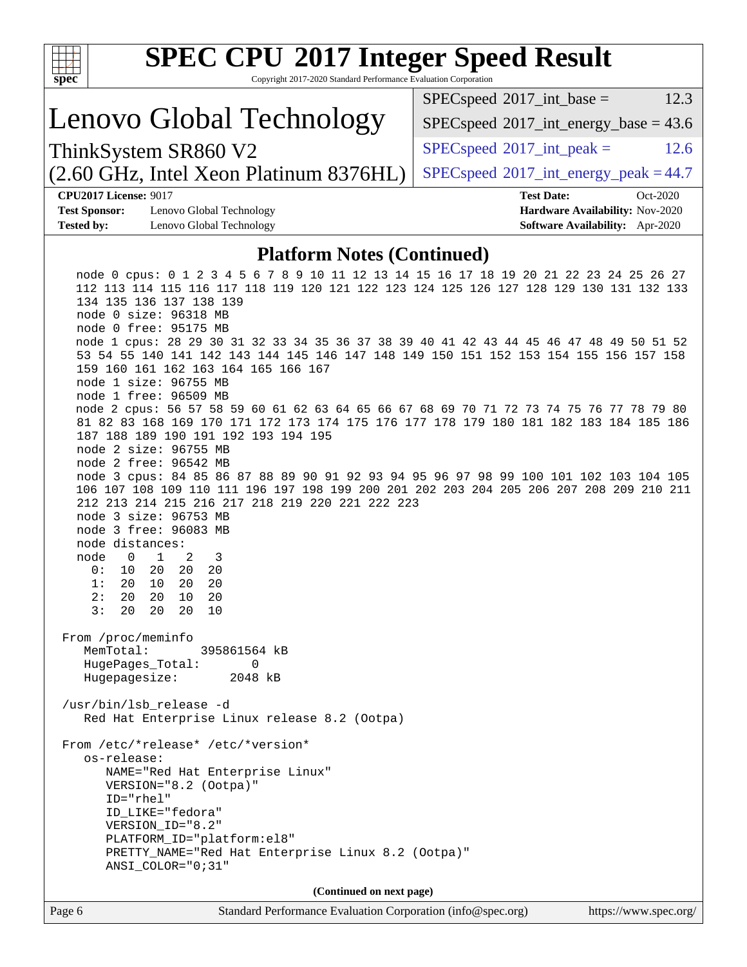| <b>SPEC CPU®2017 Integer Speed Result</b><br>Copyright 2017-2020 Standard Performance Evaluation Corporation<br>spec <sup>®</sup>                                                                                                                                                                                                                         |                                                                    |
|-----------------------------------------------------------------------------------------------------------------------------------------------------------------------------------------------------------------------------------------------------------------------------------------------------------------------------------------------------------|--------------------------------------------------------------------|
|                                                                                                                                                                                                                                                                                                                                                           | $SPEC speed^{\circ}2017\_int\_base =$<br>12.3                      |
| Lenovo Global Technology                                                                                                                                                                                                                                                                                                                                  | $SPEC speed$ <sup>®</sup> $2017$ _int_energy_base = 43.6           |
| ThinkSystem SR860 V2                                                                                                                                                                                                                                                                                                                                      | $SPEC speed^{\circ}2017\_int\_peak =$<br>12.6                      |
| (2.60 GHz, Intel Xeon Platinum 8376HL)                                                                                                                                                                                                                                                                                                                    | $SPEC speed@2017_int\_energy\_peak = 44.7$                         |
| <b>CPU2017 License: 9017</b>                                                                                                                                                                                                                                                                                                                              | <b>Test Date:</b><br>Oct-2020                                      |
| <b>Test Sponsor:</b><br>Lenovo Global Technology<br><b>Tested by:</b><br>Lenovo Global Technology                                                                                                                                                                                                                                                         | Hardware Availability: Nov-2020<br>Software Availability: Apr-2020 |
|                                                                                                                                                                                                                                                                                                                                                           |                                                                    |
| <b>Platform Notes (Continued)</b>                                                                                                                                                                                                                                                                                                                         |                                                                    |
| node 0 cpus: 0 1 2 3 4 5 6 7 8 9 10 11 12 13 14 15 16 17 18 19 20 21 22 23 24 25 26 27<br>112 113 114 115 116 117 118 119 120 121 122 123 124 125 126 127 128 129 130 131 132 133<br>134 135 136 137 138 139<br>node 0 size: 96318 MB<br>node 0 free: 95175 MB<br>node 1 cpus: 28 29 30 31 32 33 34 35 36 37 38 39 40 41 42 43 44 45 46 47 48 49 50 51 52 |                                                                    |
| 53 54 55 140 141 142 143 144 145 146 147 148 149 150 151 152 153 154 155 156 157 158<br>159 160 161 162 163 164 165 166 167<br>node 1 size: 96755 MB<br>node 1 free: 96509 MB                                                                                                                                                                             |                                                                    |
| node 2 cpus: 56 57 58 59 60 61 62 63 64 65 66 67 68 69 70 71 72 73 74 75 76 77 78 79 80<br>81 82 83 168 169 170 171 172 173 174 175 176 177 178 179 180 181 182 183 184 185 186<br>187 188 189 190 191 192 193 194 195<br>node 2 size: 96755 MB<br>node 2 free: 96542 MB                                                                                  |                                                                    |
| node 3 cpus: 84 85 86 87 88 89 90 91 92 93 94 95 96 97 98 99 100 101 102 103 104 105<br>106 107 108 109 110 111 196 197 198 199 200 201 202 203 204 205 206 207 208 209 210 211<br>212 213 214 215 216 217 218 219 220 221 222 223<br>node 3 size: 96753 MB<br>node 3 free: 96083 MB<br>node distances:                                                   |                                                                    |
| 2<br>$\mathbf 0$<br>1<br>3<br>node<br>20<br>0:<br>10<br>20<br>20                                                                                                                                                                                                                                                                                          |                                                                    |
| 20<br>10<br>20<br>20<br>1:<br>2:<br>20<br>20<br>20<br>10<br>3:<br>20<br>20<br>20<br>10                                                                                                                                                                                                                                                                    |                                                                    |
| From /proc/meminfo<br>MemTotal:<br>395861564 kB                                                                                                                                                                                                                                                                                                           |                                                                    |
| HugePages_Total:<br>0<br>Hugepagesize:<br>2048 kB                                                                                                                                                                                                                                                                                                         |                                                                    |
| /usr/bin/lsb_release -d<br>Red Hat Enterprise Linux release 8.2 (Ootpa)                                                                                                                                                                                                                                                                                   |                                                                    |
| From /etc/*release* /etc/*version*<br>os-release:                                                                                                                                                                                                                                                                                                         |                                                                    |
| NAME="Red Hat Enterprise Linux"                                                                                                                                                                                                                                                                                                                           |                                                                    |
| VERSION="8.2 (Ootpa)"<br>ID="rhel"                                                                                                                                                                                                                                                                                                                        |                                                                    |
| ID_LIKE="fedora"<br>VERSION_ID="8.2"                                                                                                                                                                                                                                                                                                                      |                                                                    |
| PLATFORM_ID="platform:el8"<br>PRETTY_NAME="Red Hat Enterprise Linux 8.2 (Ootpa)"<br>ANSI_COLOR="0;31"                                                                                                                                                                                                                                                     |                                                                    |
| (Continued on next page)                                                                                                                                                                                                                                                                                                                                  |                                                                    |
| Page 6<br>Standard Performance Evaluation Corporation (info@spec.org)                                                                                                                                                                                                                                                                                     | https://www.spec.org/                                              |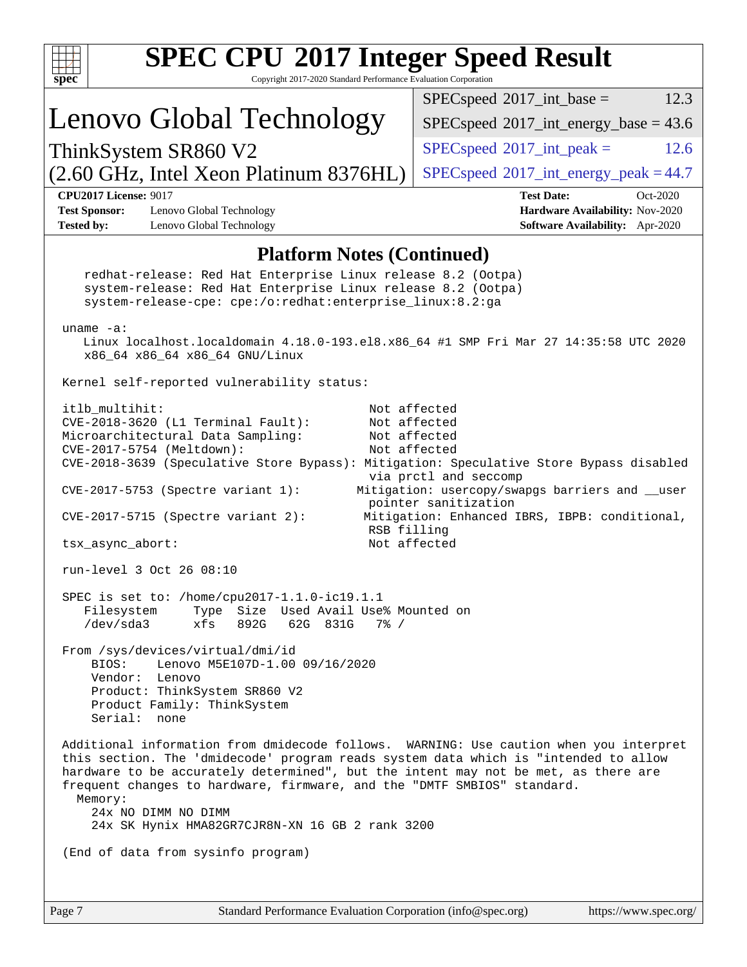| <b>SPEC CPU®2017 Integer Speed Result</b><br>Copyright 2017-2020 Standard Performance Evaluation Corporation<br>$\mathbf{spec}^*$                                                                                                                                                                                                                                                                                                                                                                                                                                                                                                                                                                                                                                                                                                                                                                                                               |                                                                    |  |  |  |  |
|-------------------------------------------------------------------------------------------------------------------------------------------------------------------------------------------------------------------------------------------------------------------------------------------------------------------------------------------------------------------------------------------------------------------------------------------------------------------------------------------------------------------------------------------------------------------------------------------------------------------------------------------------------------------------------------------------------------------------------------------------------------------------------------------------------------------------------------------------------------------------------------------------------------------------------------------------|--------------------------------------------------------------------|--|--|--|--|
|                                                                                                                                                                                                                                                                                                                                                                                                                                                                                                                                                                                                                                                                                                                                                                                                                                                                                                                                                 | $SPEC speed^{\circ}2017\_int\_base =$<br>12.3                      |  |  |  |  |
| Lenovo Global Technology                                                                                                                                                                                                                                                                                                                                                                                                                                                                                                                                                                                                                                                                                                                                                                                                                                                                                                                        | $SPEC speed^{\circ}2017\_int\_energy\_base = 43.6$                 |  |  |  |  |
| ThinkSystem SR860 V2                                                                                                                                                                                                                                                                                                                                                                                                                                                                                                                                                                                                                                                                                                                                                                                                                                                                                                                            | $SPEC speed^{\circ}2017\_int\_peak =$<br>12.6                      |  |  |  |  |
| (2.60 GHz, Intel Xeon Platinum 8376HL)                                                                                                                                                                                                                                                                                                                                                                                                                                                                                                                                                                                                                                                                                                                                                                                                                                                                                                          | $SPEC speed^{\circ}2017\_int\_energy\_peak = 44.7$                 |  |  |  |  |
| <b>CPU2017 License: 9017</b>                                                                                                                                                                                                                                                                                                                                                                                                                                                                                                                                                                                                                                                                                                                                                                                                                                                                                                                    | <b>Test Date:</b><br>Oct-2020                                      |  |  |  |  |
| <b>Test Sponsor:</b><br>Lenovo Global Technology<br><b>Tested by:</b><br>Lenovo Global Technology                                                                                                                                                                                                                                                                                                                                                                                                                                                                                                                                                                                                                                                                                                                                                                                                                                               | Hardware Availability: Nov-2020<br>Software Availability: Apr-2020 |  |  |  |  |
| <b>Platform Notes (Continued)</b><br>redhat-release: Red Hat Enterprise Linux release 8.2 (Ootpa)<br>system-release: Red Hat Enterprise Linux release 8.2 (Ootpa)<br>system-release-cpe: cpe:/o:redhat:enterprise_linux:8.2:ga<br>uname $-a$ :<br>Linux localhost.localdomain 4.18.0-193.el8.x86_64 #1 SMP Fri Mar 27 14:35:58 UTC 2020<br>x86_64 x86_64 x86_64 GNU/Linux<br>Kernel self-reported vulnerability status:<br>itlb_multihit:<br>Not affected<br>CVE-2018-3620 (L1 Terminal Fault):<br>Not affected<br>Microarchitectural Data Sampling:<br>Not affected<br>CVE-2017-5754 (Meltdown):<br>Not affected<br>CVE-2018-3639 (Speculative Store Bypass): Mitigation: Speculative Store Bypass disabled<br>via prctl and seccomp<br>Mitigation: usercopy/swapgs barriers and __user<br>$CVE-2017-5753$ (Spectre variant 1):<br>pointer sanitization<br>CVE-2017-5715 (Spectre variant 2):<br>Mitigation: Enhanced IBRS, IBPB: conditional, |                                                                    |  |  |  |  |
| RSB filling<br>Not affected<br>tsx_async_abort:<br>run-level 3 Oct 26 08:10                                                                                                                                                                                                                                                                                                                                                                                                                                                                                                                                                                                                                                                                                                                                                                                                                                                                     |                                                                    |  |  |  |  |
| SPEC is set to: /home/cpu2017-1.1.0-ic19.1.1<br>Type Size Used Avail Use% Mounted on<br>Filesystem<br>/dev/sda3<br>892G<br>62G 831G<br>xfs<br>$7\%$ /<br>From /sys/devices/virtual/dmi/id<br>BIOS:<br>Lenovo M5E107D-1.00 09/16/2020<br>Vendor: Lenovo<br>Product: ThinkSystem SR860 V2<br>Product Family: ThinkSystem<br>Serial: none<br>Additional information from dmidecode follows. WARNING: Use caution when you interpret<br>this section. The 'dmidecode' program reads system data which is "intended to allow<br>hardware to be accurately determined", but the intent may not be met, as there are                                                                                                                                                                                                                                                                                                                                   |                                                                    |  |  |  |  |
| frequent changes to hardware, firmware, and the "DMTF SMBIOS" standard.<br>Memory:<br>24x NO DIMM NO DIMM<br>24x SK Hynix HMA82GR7CJR8N-XN 16 GB 2 rank 3200<br>(End of data from sysinfo program)                                                                                                                                                                                                                                                                                                                                                                                                                                                                                                                                                                                                                                                                                                                                              |                                                                    |  |  |  |  |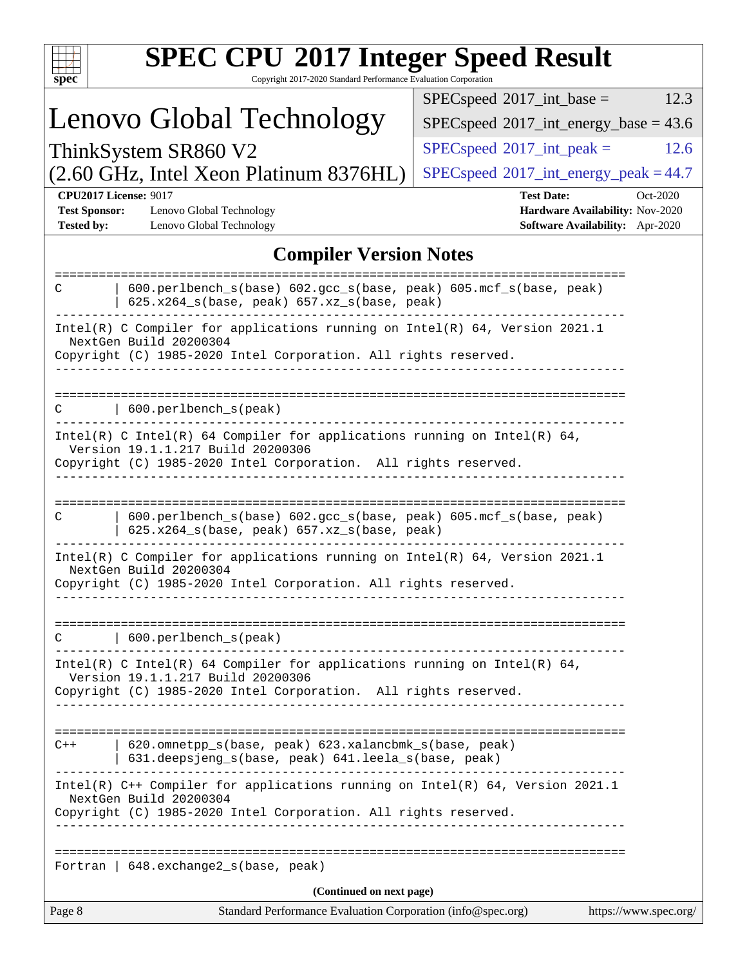| <b>SPEC CPU®2017 Integer Speed Result</b><br>Copyright 2017-2020 Standard Performance Evaluation Corporation<br>spec <sup>®</sup>                                                |                                                                                                     |  |  |  |
|----------------------------------------------------------------------------------------------------------------------------------------------------------------------------------|-----------------------------------------------------------------------------------------------------|--|--|--|
|                                                                                                                                                                                  | $SPEC speed^{\circ}2017\_int\_base =$<br>12.3                                                       |  |  |  |
| Lenovo Global Technology                                                                                                                                                         | $SPEC speed^{\circ}2017\_int\_energy\_base = 43.6$                                                  |  |  |  |
| ThinkSystem SR860 V2                                                                                                                                                             | $SPEC speed^{\circ}2017\_int\_peak =$<br>12.6                                                       |  |  |  |
| (2.60 GHz, Intel Xeon Platinum 8376HL)                                                                                                                                           | $SPEC speed^{\circ}2017\_int\_energy\_peak = 44.7$                                                  |  |  |  |
| <b>CPU2017 License: 9017</b><br><b>Test Sponsor:</b><br>Lenovo Global Technology<br><b>Tested by:</b><br>Lenovo Global Technology                                                | <b>Test Date:</b><br>Oct-2020<br>Hardware Availability: Nov-2020<br>Software Availability: Apr-2020 |  |  |  |
| <b>Compiler Version Notes</b>                                                                                                                                                    |                                                                                                     |  |  |  |
| 600.perlbench_s(base) 602.gcc_s(base, peak) 605.mcf_s(base, peak)<br>C<br>625.x264_s(base, peak) 657.xz_s(base, peak)                                                            |                                                                                                     |  |  |  |
| Intel(R) C Compiler for applications running on Intel(R) 64, Version 2021.1<br>NextGen Build 20200304<br>Copyright (C) 1985-2020 Intel Corporation. All rights reserved.         |                                                                                                     |  |  |  |
| 600.perlbench_s(peak)<br>С                                                                                                                                                       |                                                                                                     |  |  |  |
| Intel(R) C Intel(R) 64 Compiler for applications running on Intel(R) 64,<br>Version 19.1.1.217 Build 20200306<br>Copyright (C) 1985-2020 Intel Corporation. All rights reserved. |                                                                                                     |  |  |  |
| ------------------------------<br>600.perlbench_s(base) 602.gcc_s(base, peak) 605.mcf_s(base, peak)<br>C<br>625.x264_s(base, peak) 657.xz_s(base, peak)                          |                                                                                                     |  |  |  |
| Intel(R) C Compiler for applications running on Intel(R) 64, Version 2021.1<br>NextGen Build 20200304<br>Copyright (C) 1985-2020 Intel Corporation. All rights reserved.         |                                                                                                     |  |  |  |
| 600.perlbench_s(peak)<br>С                                                                                                                                                       |                                                                                                     |  |  |  |
| Intel(R) C Intel(R) 64 Compiler for applications running on Intel(R) 64,<br>Version 19.1.1.217 Build 20200306<br>Copyright (C) 1985-2020 Intel Corporation. All rights reserved. |                                                                                                     |  |  |  |
| 620.omnetpp_s(base, peak) 623.xalancbmk_s(base, peak)<br>$C++$<br>631.deepsjeng_s(base, peak) 641.leela_s(base, peak)                                                            |                                                                                                     |  |  |  |
| Intel(R) $C++$ Compiler for applications running on Intel(R) 64, Version 2021.1<br>NextGen Build 20200304<br>Copyright (C) 1985-2020 Intel Corporation. All rights reserved.     |                                                                                                     |  |  |  |
| Fortran   648. exchange2_s(base, peak)                                                                                                                                           |                                                                                                     |  |  |  |
| (Continued on next page)                                                                                                                                                         |                                                                                                     |  |  |  |
| Page 8<br>Standard Performance Evaluation Corporation (info@spec.org)                                                                                                            | https://www.spec.org/                                                                               |  |  |  |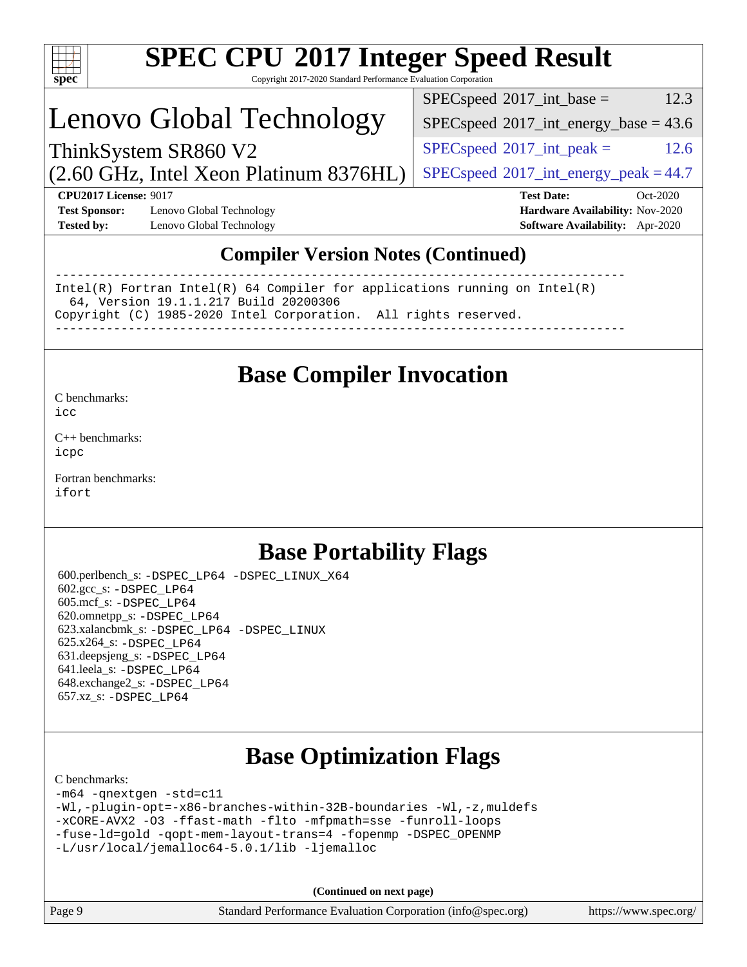| S)<br>эe<br>r |  |  |  |  |
|---------------|--|--|--|--|

# **[SPEC CPU](http://www.spec.org/auto/cpu2017/Docs/result-fields.html#SPECCPU2017IntegerSpeedResult)[2017 Integer Speed Result](http://www.spec.org/auto/cpu2017/Docs/result-fields.html#SPECCPU2017IntegerSpeedResult)**

Copyright 2017-2020 Standard Performance Evaluation Corporation

## Lenovo Global Technology

 $SPEC speed^{\circ}2017\_int\_base =$  12.3

 $SPEC speed$ <sup>®</sup> $2017$ \_int\_energy\_base = 43.6

 $SPECspeed*2017\_int\_peak =$  $SPECspeed*2017\_int\_peak =$  12.6

 $SPEC speed@2017_int\_energy\_peak = 44.7$ 

(2.60 GHz, Intel Xeon Platinum 8376HL) ThinkSystem SR860 V2

**[CPU2017 License:](http://www.spec.org/auto/cpu2017/Docs/result-fields.html#CPU2017License)** 9017 **[Test Date:](http://www.spec.org/auto/cpu2017/Docs/result-fields.html#TestDate)** Oct-2020 **[Test Sponsor:](http://www.spec.org/auto/cpu2017/Docs/result-fields.html#TestSponsor)** Lenovo Global Technology **[Hardware Availability:](http://www.spec.org/auto/cpu2017/Docs/result-fields.html#HardwareAvailability)** Nov-2020 **[Tested by:](http://www.spec.org/auto/cpu2017/Docs/result-fields.html#Testedby)** Lenovo Global Technology **[Software Availability:](http://www.spec.org/auto/cpu2017/Docs/result-fields.html#SoftwareAvailability)** Apr-2020

### **[Compiler Version Notes \(Continued\)](http://www.spec.org/auto/cpu2017/Docs/result-fields.html#CompilerVersionNotes)**

------------------------------------------------------------------------------ Intel(R) Fortran Intel(R) 64 Compiler for applications running on Intel(R) 64, Version 19.1.1.217 Build 20200306 Copyright (C) 1985-2020 Intel Corporation. All rights reserved. ------------------------------------------------------------------------------

### **[Base Compiler Invocation](http://www.spec.org/auto/cpu2017/Docs/result-fields.html#BaseCompilerInvocation)**

#### [C benchmarks](http://www.spec.org/auto/cpu2017/Docs/result-fields.html#Cbenchmarks): [icc](http://www.spec.org/cpu2017/results/res2020q4/cpu2017-20201026-24300.flags.html#user_CCbase_intel_icc_66fc1ee009f7361af1fbd72ca7dcefbb700085f36577c54f309893dd4ec40d12360134090235512931783d35fd58c0460139e722d5067c5574d8eaf2b3e37e92)

[C++ benchmarks:](http://www.spec.org/auto/cpu2017/Docs/result-fields.html#CXXbenchmarks) [icpc](http://www.spec.org/cpu2017/results/res2020q4/cpu2017-20201026-24300.flags.html#user_CXXbase_intel_icpc_c510b6838c7f56d33e37e94d029a35b4a7bccf4766a728ee175e80a419847e808290a9b78be685c44ab727ea267ec2f070ec5dc83b407c0218cded6866a35d07)

[Fortran benchmarks](http://www.spec.org/auto/cpu2017/Docs/result-fields.html#Fortranbenchmarks): [ifort](http://www.spec.org/cpu2017/results/res2020q4/cpu2017-20201026-24300.flags.html#user_FCbase_intel_ifort_8111460550e3ca792625aed983ce982f94888b8b503583aa7ba2b8303487b4d8a21a13e7191a45c5fd58ff318f48f9492884d4413fa793fd88dd292cad7027ca)

## **[Base Portability Flags](http://www.spec.org/auto/cpu2017/Docs/result-fields.html#BasePortabilityFlags)**

 600.perlbench\_s: [-DSPEC\\_LP64](http://www.spec.org/cpu2017/results/res2020q4/cpu2017-20201026-24300.flags.html#b600.perlbench_s_basePORTABILITY_DSPEC_LP64) [-DSPEC\\_LINUX\\_X64](http://www.spec.org/cpu2017/results/res2020q4/cpu2017-20201026-24300.flags.html#b600.perlbench_s_baseCPORTABILITY_DSPEC_LINUX_X64) 602.gcc\_s: [-DSPEC\\_LP64](http://www.spec.org/cpu2017/results/res2020q4/cpu2017-20201026-24300.flags.html#suite_basePORTABILITY602_gcc_s_DSPEC_LP64) 605.mcf\_s: [-DSPEC\\_LP64](http://www.spec.org/cpu2017/results/res2020q4/cpu2017-20201026-24300.flags.html#suite_basePORTABILITY605_mcf_s_DSPEC_LP64) 620.omnetpp\_s: [-DSPEC\\_LP64](http://www.spec.org/cpu2017/results/res2020q4/cpu2017-20201026-24300.flags.html#suite_basePORTABILITY620_omnetpp_s_DSPEC_LP64) 623.xalancbmk\_s: [-DSPEC\\_LP64](http://www.spec.org/cpu2017/results/res2020q4/cpu2017-20201026-24300.flags.html#suite_basePORTABILITY623_xalancbmk_s_DSPEC_LP64) [-DSPEC\\_LINUX](http://www.spec.org/cpu2017/results/res2020q4/cpu2017-20201026-24300.flags.html#b623.xalancbmk_s_baseCXXPORTABILITY_DSPEC_LINUX) 625.x264\_s: [-DSPEC\\_LP64](http://www.spec.org/cpu2017/results/res2020q4/cpu2017-20201026-24300.flags.html#suite_basePORTABILITY625_x264_s_DSPEC_LP64) 631.deepsjeng\_s: [-DSPEC\\_LP64](http://www.spec.org/cpu2017/results/res2020q4/cpu2017-20201026-24300.flags.html#suite_basePORTABILITY631_deepsjeng_s_DSPEC_LP64) 641.leela\_s: [-DSPEC\\_LP64](http://www.spec.org/cpu2017/results/res2020q4/cpu2017-20201026-24300.flags.html#suite_basePORTABILITY641_leela_s_DSPEC_LP64) 648.exchange2\_s: [-DSPEC\\_LP64](http://www.spec.org/cpu2017/results/res2020q4/cpu2017-20201026-24300.flags.html#suite_basePORTABILITY648_exchange2_s_DSPEC_LP64) 657.xz\_s: [-DSPEC\\_LP64](http://www.spec.org/cpu2017/results/res2020q4/cpu2017-20201026-24300.flags.html#suite_basePORTABILITY657_xz_s_DSPEC_LP64)

## **[Base Optimization Flags](http://www.spec.org/auto/cpu2017/Docs/result-fields.html#BaseOptimizationFlags)**

#### [C benchmarks](http://www.spec.org/auto/cpu2017/Docs/result-fields.html#Cbenchmarks):

```
-m64 -qnextgen -std=c11
-Wl,-plugin-opt=-x86-branches-within-32B-boundaries -Wl,-z,muldefs
-xCORE-AVX2 -O3 -ffast-math -flto -mfpmath=sse -funroll-loops
-fuse-ld=gold -qopt-mem-layout-trans=4 -fopenmp -DSPEC_OPENMP
-L/usr/local/jemalloc64-5.0.1/lib -ljemalloc
```
**(Continued on next page)**

| $\vert$ Page 9 | Standard Performance Evaluation Corporation (info@spec.org) | https://www.spec.org/ |
|----------------|-------------------------------------------------------------|-----------------------|
|----------------|-------------------------------------------------------------|-----------------------|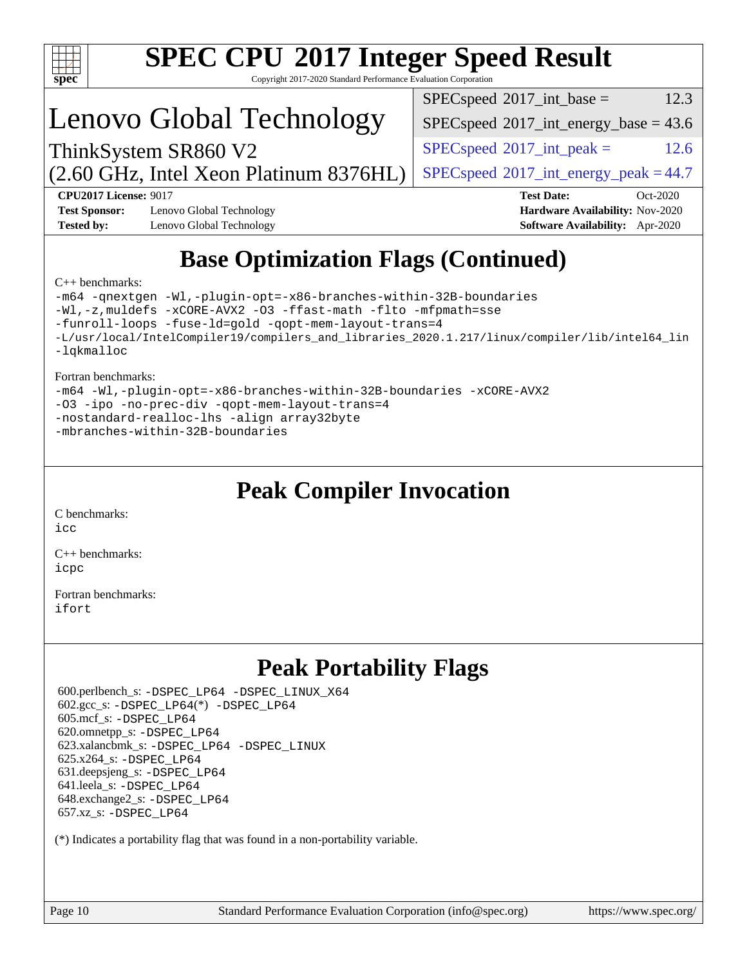

# **[SPEC CPU](http://www.spec.org/auto/cpu2017/Docs/result-fields.html#SPECCPU2017IntegerSpeedResult)[2017 Integer Speed Result](http://www.spec.org/auto/cpu2017/Docs/result-fields.html#SPECCPU2017IntegerSpeedResult)**

Copyright 2017-2020 Standard Performance Evaluation Corporation

## Lenovo Global Technology

 $SPEC speed^{\circ}2017\_int\_base =$  12.3

 $SPEC speed$ <sup>®</sup> $2017$ \_int\_energy\_base = 43.6

 $SPECspeed*2017\_int\_peak =$  $SPECspeed*2017\_int\_peak =$  12.6

 $SPEC speed@2017_int\_energy\_peak = 44.7$ 

(2.60 GHz, Intel Xeon Platinum 8376HL) ThinkSystem SR860 V2

**[CPU2017 License:](http://www.spec.org/auto/cpu2017/Docs/result-fields.html#CPU2017License)** 9017 **[Test Date:](http://www.spec.org/auto/cpu2017/Docs/result-fields.html#TestDate)** Oct-2020 **[Test Sponsor:](http://www.spec.org/auto/cpu2017/Docs/result-fields.html#TestSponsor)** Lenovo Global Technology **[Hardware Availability:](http://www.spec.org/auto/cpu2017/Docs/result-fields.html#HardwareAvailability)** Nov-2020

**[Tested by:](http://www.spec.org/auto/cpu2017/Docs/result-fields.html#Testedby)** Lenovo Global Technology **[Software Availability:](http://www.spec.org/auto/cpu2017/Docs/result-fields.html#SoftwareAvailability)** Apr-2020

## **[Base Optimization Flags \(Continued\)](http://www.spec.org/auto/cpu2017/Docs/result-fields.html#BaseOptimizationFlags)**

#### [C++ benchmarks:](http://www.spec.org/auto/cpu2017/Docs/result-fields.html#CXXbenchmarks)

```
-m64 -qnextgen -Wl,-plugin-opt=-x86-branches-within-32B-boundaries
-Wl,-z,muldefs -xCORE-AVX2 -O3 -ffast-math -flto -mfpmath=sse
-funroll-loops -fuse-ld=gold -qopt-mem-layout-trans=4
-L/usr/local/IntelCompiler19/compilers_and_libraries_2020.1.217/linux/compiler/lib/intel64_lin
-lqkmalloc
```
#### [Fortran benchmarks:](http://www.spec.org/auto/cpu2017/Docs/result-fields.html#Fortranbenchmarks)

```
-m64 -Wl,-plugin-opt=-x86-branches-within-32B-boundaries -xCORE-AVX2
-O3 -ipo -no-prec-div -qopt-mem-layout-trans=4
-nostandard-realloc-lhs -align array32byte
-mbranches-within-32B-boundaries
```
## **[Peak Compiler Invocation](http://www.spec.org/auto/cpu2017/Docs/result-fields.html#PeakCompilerInvocation)**

[C benchmarks](http://www.spec.org/auto/cpu2017/Docs/result-fields.html#Cbenchmarks): [icc](http://www.spec.org/cpu2017/results/res2020q4/cpu2017-20201026-24300.flags.html#user_CCpeak_intel_icc_66fc1ee009f7361af1fbd72ca7dcefbb700085f36577c54f309893dd4ec40d12360134090235512931783d35fd58c0460139e722d5067c5574d8eaf2b3e37e92)

[C++ benchmarks:](http://www.spec.org/auto/cpu2017/Docs/result-fields.html#CXXbenchmarks) [icpc](http://www.spec.org/cpu2017/results/res2020q4/cpu2017-20201026-24300.flags.html#user_CXXpeak_intel_icpc_c510b6838c7f56d33e37e94d029a35b4a7bccf4766a728ee175e80a419847e808290a9b78be685c44ab727ea267ec2f070ec5dc83b407c0218cded6866a35d07)

[Fortran benchmarks](http://www.spec.org/auto/cpu2017/Docs/result-fields.html#Fortranbenchmarks): [ifort](http://www.spec.org/cpu2017/results/res2020q4/cpu2017-20201026-24300.flags.html#user_FCpeak_intel_ifort_8111460550e3ca792625aed983ce982f94888b8b503583aa7ba2b8303487b4d8a21a13e7191a45c5fd58ff318f48f9492884d4413fa793fd88dd292cad7027ca)

## **[Peak Portability Flags](http://www.spec.org/auto/cpu2017/Docs/result-fields.html#PeakPortabilityFlags)**

 600.perlbench\_s: [-DSPEC\\_LP64](http://www.spec.org/cpu2017/results/res2020q4/cpu2017-20201026-24300.flags.html#b600.perlbench_s_peakPORTABILITY_DSPEC_LP64) [-DSPEC\\_LINUX\\_X64](http://www.spec.org/cpu2017/results/res2020q4/cpu2017-20201026-24300.flags.html#b600.perlbench_s_peakCPORTABILITY_DSPEC_LINUX_X64) 602.gcc\_s: [-DSPEC\\_LP64](http://www.spec.org/cpu2017/results/res2020q4/cpu2017-20201026-24300.flags.html#suite_peakCCLD602_gcc_s_DSPEC_LP64)(\*) [-DSPEC\\_LP64](http://www.spec.org/cpu2017/results/res2020q4/cpu2017-20201026-24300.flags.html#suite_peakPORTABILITY602_gcc_s_DSPEC_LP64) 605.mcf\_s: [-DSPEC\\_LP64](http://www.spec.org/cpu2017/results/res2020q4/cpu2017-20201026-24300.flags.html#suite_peakPORTABILITY605_mcf_s_DSPEC_LP64) 620.omnetpp\_s: [-DSPEC\\_LP64](http://www.spec.org/cpu2017/results/res2020q4/cpu2017-20201026-24300.flags.html#suite_peakPORTABILITY620_omnetpp_s_DSPEC_LP64) 623.xalancbmk\_s: [-DSPEC\\_LP64](http://www.spec.org/cpu2017/results/res2020q4/cpu2017-20201026-24300.flags.html#suite_peakPORTABILITY623_xalancbmk_s_DSPEC_LP64) [-DSPEC\\_LINUX](http://www.spec.org/cpu2017/results/res2020q4/cpu2017-20201026-24300.flags.html#b623.xalancbmk_s_peakCXXPORTABILITY_DSPEC_LINUX) 625.x264\_s: [-DSPEC\\_LP64](http://www.spec.org/cpu2017/results/res2020q4/cpu2017-20201026-24300.flags.html#suite_peakPORTABILITY625_x264_s_DSPEC_LP64) 631.deepsjeng\_s: [-DSPEC\\_LP64](http://www.spec.org/cpu2017/results/res2020q4/cpu2017-20201026-24300.flags.html#suite_peakPORTABILITY631_deepsjeng_s_DSPEC_LP64) 641.leela\_s: [-DSPEC\\_LP64](http://www.spec.org/cpu2017/results/res2020q4/cpu2017-20201026-24300.flags.html#suite_peakPORTABILITY641_leela_s_DSPEC_LP64) 648.exchange2\_s: [-DSPEC\\_LP64](http://www.spec.org/cpu2017/results/res2020q4/cpu2017-20201026-24300.flags.html#suite_peakPORTABILITY648_exchange2_s_DSPEC_LP64) 657.xz\_s: [-DSPEC\\_LP64](http://www.spec.org/cpu2017/results/res2020q4/cpu2017-20201026-24300.flags.html#suite_peakPORTABILITY657_xz_s_DSPEC_LP64)

(\*) Indicates a portability flag that was found in a non-portability variable.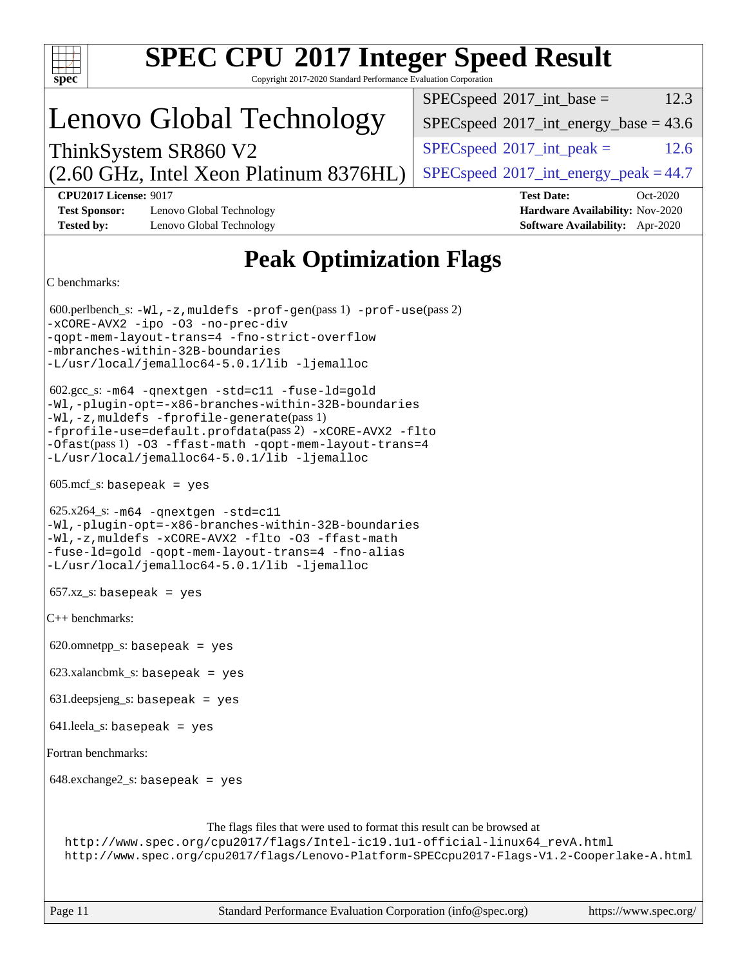| <b>SPEC CPU®2017 Integer Speed Result</b>                                                                                                                                                                                                                                                                                    |                                                                                                     |  |  |  |
|------------------------------------------------------------------------------------------------------------------------------------------------------------------------------------------------------------------------------------------------------------------------------------------------------------------------------|-----------------------------------------------------------------------------------------------------|--|--|--|
| Copyright 2017-2020 Standard Performance Evaluation Corporation<br>$spec^*$                                                                                                                                                                                                                                                  | 12.3<br>$SPEC speed^{\circ}2017\_int\_base =$                                                       |  |  |  |
| Lenovo Global Technology                                                                                                                                                                                                                                                                                                     | $SPEC speed$ <sup>®</sup> 2017_int_energy_base = 43.6                                               |  |  |  |
| ThinkSystem SR860 V2                                                                                                                                                                                                                                                                                                         | $SPEC speed^{\circ}2017\_int\_peak =$<br>12.6                                                       |  |  |  |
| (2.60 GHz, Intel Xeon Platinum 8376HL)                                                                                                                                                                                                                                                                                       | $SPEC speed@2017_int\_energy\_peak = 44.7$                                                          |  |  |  |
| <b>CPU2017 License: 9017</b><br><b>Test Sponsor:</b><br>Lenovo Global Technology<br><b>Tested by:</b><br>Lenovo Global Technology                                                                                                                                                                                            | <b>Test Date:</b><br>Oct-2020<br>Hardware Availability: Nov-2020<br>Software Availability: Apr-2020 |  |  |  |
| <b>Peak Optimization Flags</b>                                                                                                                                                                                                                                                                                               |                                                                                                     |  |  |  |
| C benchmarks:                                                                                                                                                                                                                                                                                                                |                                                                                                     |  |  |  |
| $600.$ perlbench_s: -Wl, -z, muldefs -prof-gen(pass 1) -prof-use(pass 2)<br>-xCORE-AVX2 -ipo -03 -no-prec-div<br>-qopt-mem-layout-trans=4 -fno-strict-overflow<br>-mbranches-within-32B-boundaries<br>-L/usr/local/jemalloc64-5.0.1/lib -ljemalloc                                                                           |                                                                                                     |  |  |  |
| 602.gcc_s: -m64 -qnextgen -std=c11 -fuse-ld=gold<br>-Wl,-plugin-opt=-x86-branches-within-32B-boundaries<br>-Wl,-z, muldefs -fprofile-generate(pass 1)<br>-fprofile-use=default.profdata(pass 2) -xCORE-AVX2 -flto<br>-Ofast(pass 1) -03 -ffast-math -qopt-mem-layout-trans=4<br>-L/usr/local/jemalloc64-5.0.1/lib -ljemalloc |                                                                                                     |  |  |  |
| $605 \text{.mcf}\text{.s:}$ basepeak = yes                                                                                                                                                                                                                                                                                   |                                                                                                     |  |  |  |
| $625.x264_s$ : -m64 -qnextgen -std=c11<br>-Wl,-plugin-opt=-x86-branches-within-32B-boundaries<br>-Wl,-z, muldefs -xCORE-AVX2 -flto -03 -ffast-math<br>-fuse-ld=gold -qopt-mem-layout-trans=4 -fno-alias<br>-L/usr/local/jemalloc64-5.0.1/lib -ljemalloc                                                                      |                                                                                                     |  |  |  |
| $657.xz_s$ : basepeak = yes                                                                                                                                                                                                                                                                                                  |                                                                                                     |  |  |  |
| $C++$ benchmarks:                                                                                                                                                                                                                                                                                                            |                                                                                                     |  |  |  |
| $620.$ omnetpp_s: basepeak = yes                                                                                                                                                                                                                                                                                             |                                                                                                     |  |  |  |
| $623.xalanchmk_s: basepeak = yes$                                                                                                                                                                                                                                                                                            |                                                                                                     |  |  |  |
| $631.$ deepsjeng_s: basepeak = yes                                                                                                                                                                                                                                                                                           |                                                                                                     |  |  |  |
| $641$ leela_s: basepeak = yes                                                                                                                                                                                                                                                                                                |                                                                                                     |  |  |  |
| Fortran benchmarks:                                                                                                                                                                                                                                                                                                          |                                                                                                     |  |  |  |
| $648$ .exchange $2$ _s: basepeak = yes                                                                                                                                                                                                                                                                                       |                                                                                                     |  |  |  |
| The flags files that were used to format this result can be browsed at<br>http://www.spec.org/cpu2017/flags/Intel-ic19.1u1-official-linux64_revA.html<br>http://www.spec.org/cpu2017/flags/Lenovo-Platform-SPECcpu2017-Flags-V1.2-Cooperlake-A.html                                                                          |                                                                                                     |  |  |  |
| Standard Performance Evaluation Corporation (info@spec.org)<br>Page 11                                                                                                                                                                                                                                                       | https://www.spec.org/                                                                               |  |  |  |